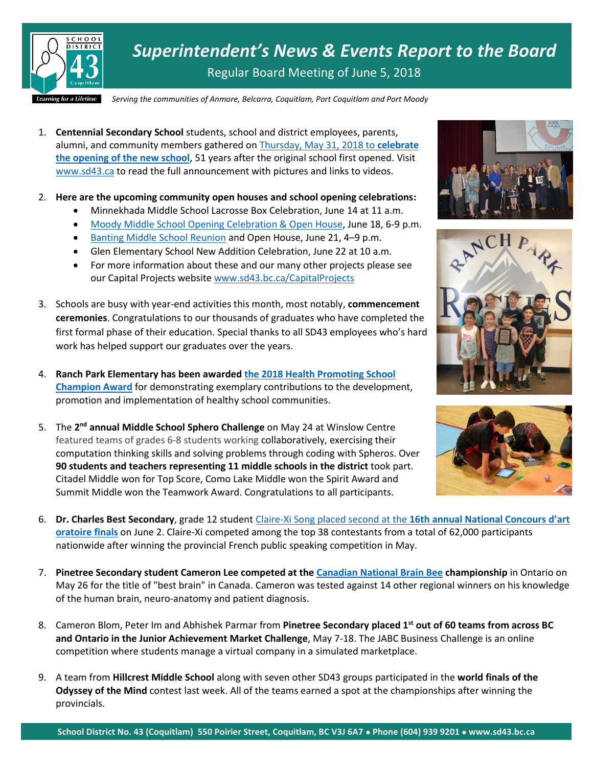

*Superintendent's News & Events Report to the Board* Regular Board Meeting of June 5, 2018

*Serving the communities of Anmore, Belcarra, Coquitlam, Port Coquitlam and Port Moody*

- 1. **Centennial Secondary School** students, school and district employees, parents, alumni, and community members gathered on [Thursday, May 31, 2018 to](https://www.sd43.bc.ca/Pages/newsitem.aspx?ItemID=438&ListID=ed550773-e9ff-4e20-9964-4e1b213f518c&TemplateID=Announcement_Item) **celebrate [the opening of the new school](https://www.sd43.bc.ca/Pages/newsitem.aspx?ItemID=438&ListID=ed550773-e9ff-4e20-9964-4e1b213f518c&TemplateID=Announcement_Item)**, 51 years after the original school first opened. Visit [www.sd43.ca](http://www.sd43.ca/) to read the full announcement with pictures and links to videos.
- 2. **Here are the upcoming community open houses and school opening celebrations:**
	- Minnekhada Middle School Lacrosse Box Celebration, June 14 at 11 a.m.
	- Moody Middle [School Opening Celebration & Open House,](https://www.sd43.bc.ca/Pages/newsitem.aspx?ItemID=439&ListID=ed550773-e9ff-4e20-9964-4e1b213f518c&TemplateID=Announcement_Item) June 18, 6-9 p.m.
	- [Banting Middle School Reunion](https://www.sd43.bc.ca/CapitalProjects/Documents/Banting%20Reunion.pdf) and Open House, June 21, 4–9 p.m.
	- Glen Elementary School New Addition Celebration, June 22 at 10 a.m.
	- For more information about these and our many other projects please see our Capital Projects website [www.sd43.bc.ca/CapitalProjects](http://www.sd43.bc.ca/CapitalProjects)
- 3. Schools are busy with year-end activities this month, most notably, **commencement ceremonies**. Congratulations to our thousands of graduates who have completed the first formal phase of their education. Special thanks to all SD43 employees who's hard work has helped support our graduates over the years.
- 4. **Ranch Park Elementary has been awarded [the 2018 Health Promoting School](https://www.sd43.bc.ca/Pages/newsitem.aspx?ItemID=171&ListID=c4134e88-bc0d-484f-9d4d-93c69db7f94f&TemplateID=Announcement_Item)  [Champion Award](https://www.sd43.bc.ca/Pages/newsitem.aspx?ItemID=171&ListID=c4134e88-bc0d-484f-9d4d-93c69db7f94f&TemplateID=Announcement_Item)** for demonstrating exemplary contributions to the development, promotion and implementation of healthy school communities.
- 5. The 2<sup>nd</sup> annual Middle School Sphero Challenge on May 24 at Winslow Centre featured teams of grades 6-8 students working collaboratively, exercising their computation thinking skills and solving problems through coding with Spheros. Over **90 students and teachers representing 11 middle schools in the district** took part. Citadel Middle won for Top Score, Como Lake Middle won the Spirit Award and Summit Middle won the Teamwork Award. Congratulations to all participants.







- 6. **Dr. Charles Best Secondary**, grade 12 student [Claire-Xi Song placed second at the](https://cpf.ca/en/actvities/youth-activities/concours-dart-oratoire/) **16th annual National Concours d'art [oratoire](https://cpf.ca/en/actvities/youth-activities/concours-dart-oratoire/) finals** on June 2. Claire-Xi competed among the top 38 contestants from a total of 62,000 participants nationwide after winning the provincial French public speaking competition in May.
- 7. **Pinetree Secondary student Cameron Lee competed at the [Canadian National Brain Bee](https://www.facebook.com/CanadianNationalBrainBee/?fref=mentions) championship** in Ontario on May 26 for the title of "best brain" in Canada. Cameron was tested against 14 other regional winners on his knowledge of the human brain, neuro-anatomy and patient diagnosis.
- 8. Cameron Blom, Peter Im and Abhishek Parmar from **Pinetree Secondary placed 1st out of 60 teams from across BC and Ontario in the Junior Achievement Market Challenge**, May 7-18. The JABC Business Challenge is an online competition where students manage a virtual company in a simulated marketplace.
- 9. A team from **Hillcrest Middle School** along with seven other SD43 groups participated in the **world finals of the Odyssey of the Mind** contest last week. All of the teams earned a spot at the championships after winning the provincials.